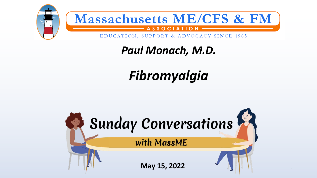

*Paul Monach, M.D.*

### *Fibromyalgia*

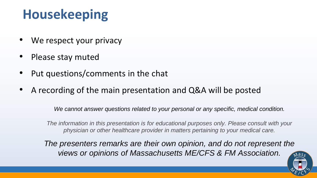### **Housekeeping**

- We respect your privacy
- Please stay muted
- Put questions/comments in the chat
- A recording of the main presentation and Q&A will be posted

*We cannot answer questions related to your personal or any specific, medical condition.*

*The information in this presentation is for educational purposes only. Please consult with your physician or other healthcare provider in matters pertaining to your medical care.*

*The presenters remarks are their own opinion, and do not represent the views or opinions of Massachusetts ME/CFS & FM Association.*

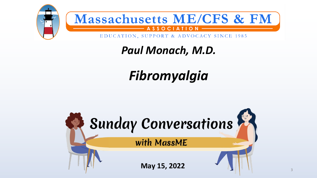

*Paul Monach, M.D.*

### *Fibromyalgia*

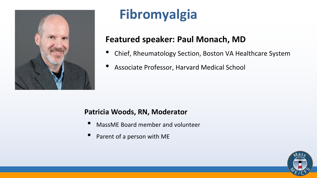

### **Fibromyalgia**

### **Featured speaker: Paul Monach, MD**

- Chief, Rheumatology Section, Boston VA Healthcare System
- Associate Professor, Harvard Medical School

### **Patricia Woods, RN, Moderator**

- MassME Board member and volunteer
- Parent of a person with ME

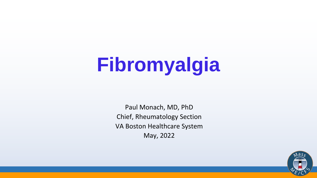# **Fibromyalgia**

Paul Monach, MD, PhD Chief, Rheumatology Section VA Boston Healthcare System May, 2022

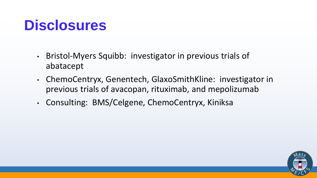### **Disclosures**

- Bristol-Myers Squibb: investigator in previous trials of abatacept
- ChemoCentryx, Genentech, GlaxoSmithKline: investigator in previous trials of avacopan, rituximab, and mepolizumab
- Consulting: BMS/Celgene, ChemoCentryx, Kiniksa

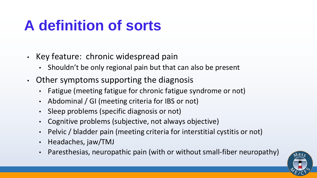### **A definition of sorts**

- Key feature: chronic widespread pain
	- Shouldn't be only regional pain but that can also be present
- Other symptoms supporting the diagnosis
	- Fatigue (meeting fatigue for chronic fatigue syndrome or not)
	- Abdominal / GI (meeting criteria for IBS or not)
	- Sleep problems (specific diagnosis or not)
	- Cognitive problems (subjective, not always objective)
	- Pelvic / bladder pain (meeting criteria for interstitial cystitis or not)
	- Headaches, jaw/TMJ
	- Paresthesias, neuropathic pain (with or without small-fiber neuropathy)

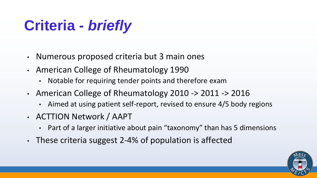### **Criteria -** *briefly*

- Numerous proposed criteria but 3 main ones
- American College of Rheumatology 1990
	- Notable for requiring tender points and therefore exam
- American College of Rheumatology 2010 -> 2011 -> 2016
	- Aimed at using patient self-report, revised to ensure 4/5 body regions
- ACTTION Network / AAPT
	- Part of a larger initiative about pain "taxonomy" than has 5 dimensions
- These criteria suggest 2-4% of population is affected

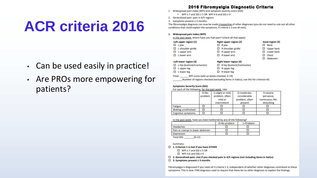### **ACR criteria 2016**

- Can be used easily in practice!
- Are PROs more empowering for patients?

### 2016 Fibromyalgia Diagnostic Criteria

- 1. Widespread pain index (WPI) and symptom severity score (SSS)
	- WPI  $\geq$  7 and SSS  $\geq$  5 OR WPI 4-6 and SSS  $\geq$  9
- 2. Generalized pain: pain in 4/5 regions
- 3. Symptoms present  $\geq$  3 months

The fibromyalgia diagnosis can now be made irrespective of other diagnoses (you do not need to rule out all other conditions that could explain the symptoms, if criteria 1-3 are all met).

### 1. Widespread pain index (WPI)

In the past week, where have you had pain? (check all that apply)

| Left upper region (1) |                          | Right upper region (2) |                          | Axial region (5) |                   |
|-----------------------|--------------------------|------------------------|--------------------------|------------------|-------------------|
|                       | $\Box$ L jaw             |                        | $\Box$ R jaw             |                  | $\square$ Neck    |
|                       | $\Box$ L shoulder girdle |                        | $\Box$ R shoulder girdle |                  | $\Box$ Upper back |
|                       | $\Box$ L upper arm       |                        | $\Box$ R upper arm       |                  | $\Box$ Lower back |
|                       | $\square$ L lower arm    |                        | $\Box$ R lower arm       |                  | $\Box$ Chest      |
|                       |                          |                        |                          |                  | $\Box$ Abdomen    |

### Left lower region (3)

 $\Box$  L hip (buttock/trochanter)  $\Box$  L upper leg  $\Box$  L lower leg

**Right lower region (4)**  $\Box$  R hip (buttock/trochanter)  $\Box$  R upper leg  $\Box$  R lower leg

Total: WPI score (add up boxes checked, 0-19)

Number of regions checked (excluding items in italics); use this for criterion #2.

### **Symptoms Severity Score (SSS)**

For each of the following, for the past week, rate

|                           | $0 = No$ | 1=slight or mild | 2=moderate.    | 3=severe,         |
|---------------------------|----------|------------------|----------------|-------------------|
|                           | problem  | problem, often   | considerable   | pervasive,        |
|                           |          | mild or          | problem, often | continuous, life- |
|                           |          | intermittent     | present        | disturbing        |
| Fatigue                   |          |                  |                |                   |
| Waking unrefreshed        |          |                  |                |                   |
| <b>Cognitive symptoms</b> |          |                  |                |                   |

In the past week, have you been bothered by any of the following?

|                                 | 0=No problem | $1 = Problem$ |
|---------------------------------|--------------|---------------|
| Headaches                       |              |               |
| Pain or cramps in lower abdomen |              |               |
| <b>Depression</b>               |              |               |
| Total CCC-<br>10.12)            |              |               |

Total SSS: \_\_\_\_\_\_(0-12)

Summary:

- □ 1. Criterion 1 is met if you have EITHER
	- $\Box$  WPI ≥ 7 and SSS ≥ 5 OR
	- $\Box$  WPI 4-6 and SSS  $\geq 9$
- $\Box$  2. Generalized pain: met if you checked pain in 4/5 regions (not including items in italics)
- $\Box$  3. Symptoms present  $\geq$  3 months

Fibromyalgia is diagnosed if you meet all 3 criteria 1-3, independent of whether other diagnoses contribute to these symptoms. This is new: FMS diagnosis used to require that there be no other diagnosis to explain the findings.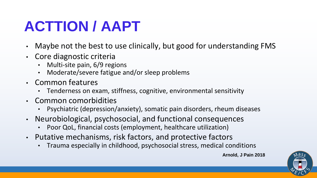### **ACTTION / AAPT**

- Maybe not the best to use clinically, but good for understanding FMS
- Core diagnostic criteria
	- Multi-site pain, 6/9 regions
	- Moderate/severe fatigue and/or sleep problems
- Common features
	- Tenderness on exam, stiffness, cognitive, environmental sensitivity
- Common comorbidities
	- Psychiatric (depression/anxiety), somatic pain disorders, rheum diseases
- Neurobiological, psychosocial, and functional consequences
	- Poor QoL, financial costs (employment, healthcare utilization)
- Putative mechanisms, risk factors, and protective factors
	- Trauma especially in childhood, psychosocial stress, medical conditions

**Arnold, J Pain 2018**

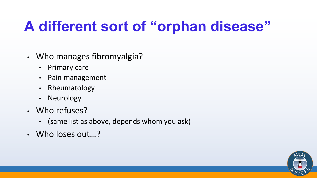### **A different sort of "orphan disease"**

- Who manages fibromyalgia?
	- Primary care
	- Pain management
	- Rheumatology
	- Neurology
- Who refuses?
	- (same list as above, depends whom you ask)
- Who loses out…?

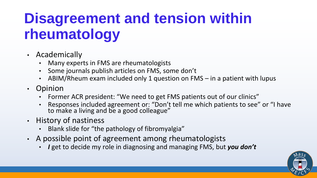### **Disagreement and tension within rheumatology**

- Academically
	- Many experts in FMS are rheumatologists
	- Some journals publish articles on FMS, some don't
	- ABIM/Rheum exam included only 1 question on FMS in a patient with lupus
- Opinion
	- Former ACR president: "We need to get FMS patients out of our clinics"
	- Responses included agreement or: "Don't tell me which patients to see" or "I have to make a living and be a good colleague"
- History of nastiness
	- Blank slide for "the pathology of fibromyalgia"
- A possible point of agreement among rheumatologists
	- *I* get to decide my role in diagnosing and managing FMS, but *you don't*

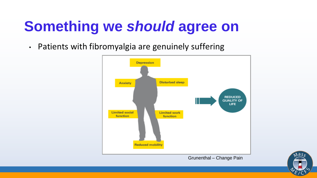### **Something we** *should* **agree on**

• Patients with fibromyalgia are genuinely suffering



Grunenthal – Change Pain

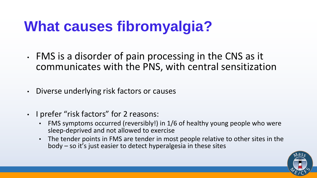### **What causes fibromyalgia?**

- FMS is a disorder of pain processing in the CNS as it communicates with the PNS, with central sensitization
- Diverse underlying risk factors or causes
- I prefer "risk factors" for 2 reasons:
	- FMS symptoms occurred (reversibly!) in 1/6 of healthy young people who were sleep-deprived and not allowed to exercise
	- The tender points in FMS are tender in most people relative to other sites in the body – so it's just easier to detect hyperalgesia in these sites

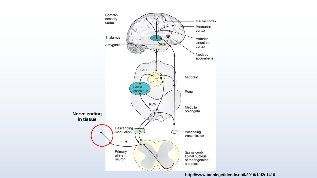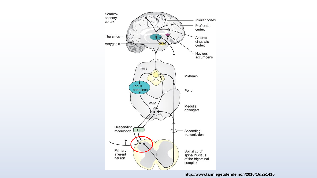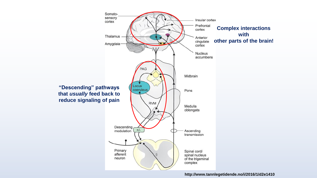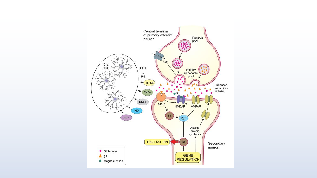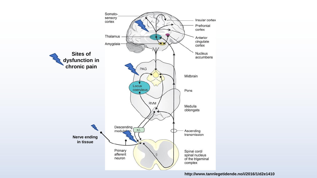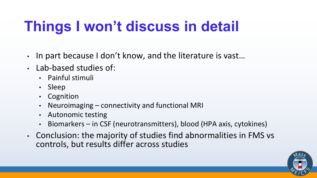## **Things I won't discuss in detail**

- In part because I don't know, and the literature is vast…
- Lab-based studies of:
	- Painful stimuli
	- Sleep
	- Cognition
	- Neuroimaging connectivity and functional MRI
	- Autonomic testing
	- Biomarkers in CSF (neurotransmitters), blood (HPA axis, cytokines)
- Conclusion: the majority of studies find abnormalities in FMS vs controls, but results differ across studies

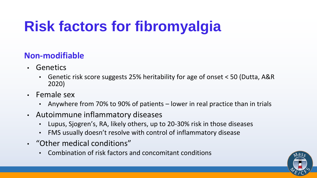## **Risk factors for fibromyalgia**

### **Non-modifiable**

- Genetics
	- Genetic risk score suggests 25% heritability for age of onset < 50 (Dutta, A&R 2020)
- Female sex
	- Anywhere from 70% to 90% of patients lower in real practice than in trials
- Autoimmune inflammatory diseases
	- Lupus, Sjogren's, RA, likely others, up to 20-30% risk in those diseases
	- FMS usually doesn't resolve with control of inflammatory disease
- "Other medical conditions"
	- Combination of risk factors and concomitant conditions

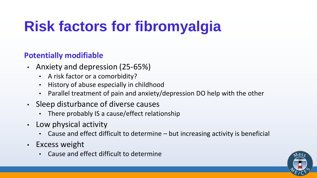## **Risk factors for fibromyalgia**

### **Potentially modifiable**

- Anxiety and depression (25-65%)
	- A risk factor or a comorbidity?
	- History of abuse especially in childhood
	- Parallel treatment of pain and anxiety/depression DO help with the other
- Sleep disturbance of diverse causes
	- There probably IS a cause/effect relationship
- Low physical activity
	- Cause and effect difficult to determine but increasing activity is beneficial
- Excess weight
	- Cause and effect difficult to determine

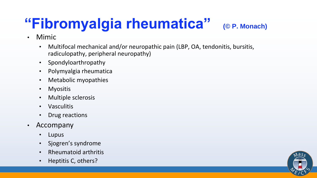## **"Fibromyalgia rheumatica" (© P. Monach)**

- Mimic
	- Multifocal mechanical and/or neuropathic pain (LBP, OA, tendonitis, bursitis, radiculopathy, peripheral neuropathy)
	- Spondyloarthropathy
	- Polymyalgia rheumatica
	- Metabolic myopathies
	- Myositis
	- Multiple sclerosis
	- Vasculitis
	- Drug reactions
- Accompany
	- Lupus
	- Sjogren's syndrome
	- Rheumatoid arthritis
	- Heptitis C, others?

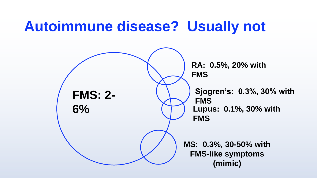### **Autoimmune disease? Usually not**

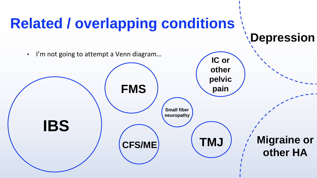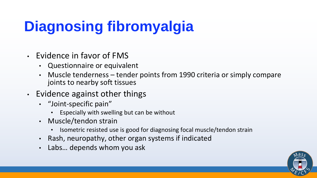## **Diagnosing fibromyalgia**

- Evidence in favor of FMS
	- Questionnaire or equivalent
	- Muscle tenderness tender points from 1990 criteria or simply compare joints to nearby soft tissues
- Evidence against other things
	- "Joint-specific pain"
		- Especially with swelling but can be without
	- Muscle/tendon strain
		- Isometric resisted use is good for diagnosing focal muscle/tendon strain
	- Rash, neuropathy, other organ systems if indicated
	- Labs… depends whom you ask

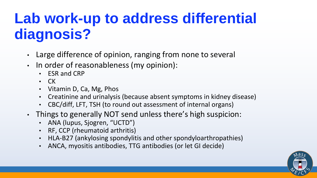### **Lab work-up to address differential diagnosis?**

- Large difference of opinion, ranging from none to several
- In order of reasonableness (my opinion):
	- ESR and CRP
	- CK
	- Vitamin D, Ca, Mg, Phos
	- Creatinine and urinalysis (because absent symptoms in kidney disease)
	- CBC/diff, LFT, TSH (to round out assessment of internal organs)
- Things to generally NOT send unless there's high suspicion:
	- ANA (lupus, Sjogren, "UCTD")
	- RF, CCP (rheumatoid arthritis)
	- HLA-B27 (ankylosing spondylitis and other spondyloarthropathies)
	- ANCA, myositis antibodies, TTG antibodies (or let GI decide)

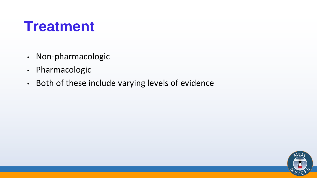### **Treatment**

- Non-pharmacologic
- Pharmacologic
- Both of these include varying levels of evidence

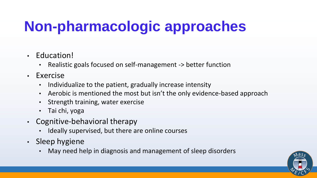## **Non-pharmacologic approaches**

- Education!
	- Realistic goals focused on self-management -> better function
- Exercise
	- Individualize to the patient, gradually increase intensity
	- Aerobic is mentioned the most but isn't the only evidence-based approach
	- Strength training, water exercise
	- Tai chi, yoga
- Cognitive-behavioral therapy
	- Ideally supervised, but there are online courses
- Sleep hygiene
	- May need help in diagnosis and management of sleep disorders

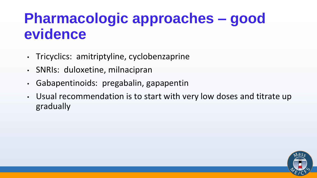### **Pharmacologic approaches – good evidence**

- Tricyclics: amitriptyline, cyclobenzaprine
- SNRIs: duloxetine, milnacipran
- Gabapentinoids: pregabalin, gapapentin
- Usual recommendation is to start with very low doses and titrate up gradually

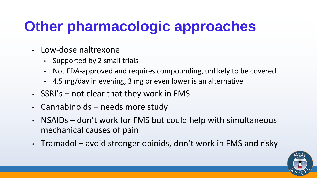## **Other pharmacologic approaches**

- Low-dose naltrexone
	- Supported by 2 small trials
	- Not FDA-approved and requires compounding, unlikely to be covered
	- 4.5 mg/day in evening, 3 mg or even lower is an alternative
- $\cdot$  SSRI's not clear that they work in FMS
- Cannabinoids needs more study
- NSAIDs don't work for FMS but could help with simultaneous mechanical causes of pain
- Tramadol avoid stronger opioids, don't work in FMS and risky

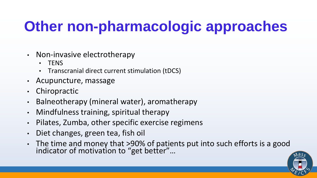## **Other non-pharmacologic approaches**

- Non-invasive electrotherapy
	- TENS
	- Transcranial direct current stimulation (tDCS)
- Acupuncture, massage
- Chiropractic
- Balneotherapy (mineral water), aromatherapy
- Mindfulness training, spiritual therapy
- Pilates, Zumba, other specific exercise regimens
- Diet changes, green tea, fish oil
- The time and money that >90% of patients put into such efforts is a good indicator of motivation to "get better"…

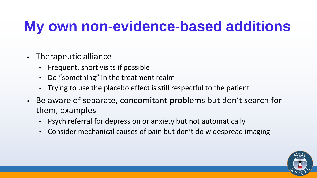### **My own non-evidence-based additions**

- Therapeutic alliance
	- Frequent, short visits if possible
	- Do "something" in the treatment realm
	- Trying to use the placebo effect is still respectful to the patient!
- Be aware of separate, concomitant problems but don't search for them, examples
	- Psych referral for depression or anxiety but not automatically
	- Consider mechanical causes of pain but don't do widespread imaging

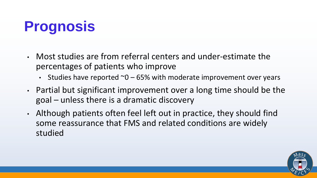## **Prognosis**

- Most studies are from referral centers and under-estimate the percentages of patients who improve
	- Studies have reported  $\sim$  0 65% with moderate improvement over years
- Partial but significant improvement over a long time should be the goal – unless there is a dramatic discovery
- Although patients often feel left out in practice, they should find some reassurance that FMS and related conditions are widely studied

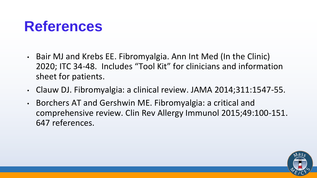### **References**

- Bair MJ and Krebs EE. Fibromyalgia. Ann Int Med (In the Clinic) 2020; ITC 34-48. Includes "Tool Kit" for clinicians and information sheet for patients.
- Clauw DJ. Fibromyalgia: a clinical review. JAMA 2014;311:1547-55.
- Borchers AT and Gershwin ME. Fibromyalgia: a critical and comprehensive review. Clin Rev Allergy Immunol 2015;49:100-151. 647 references.

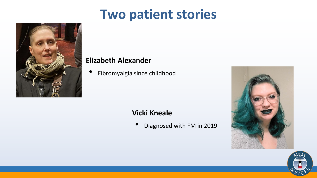### **Two patient stories**



### **Elizabeth Alexander**

• Fibromyalgia since childhood

### **Vicki Kneale**

• Diagnosed with FM in 2019